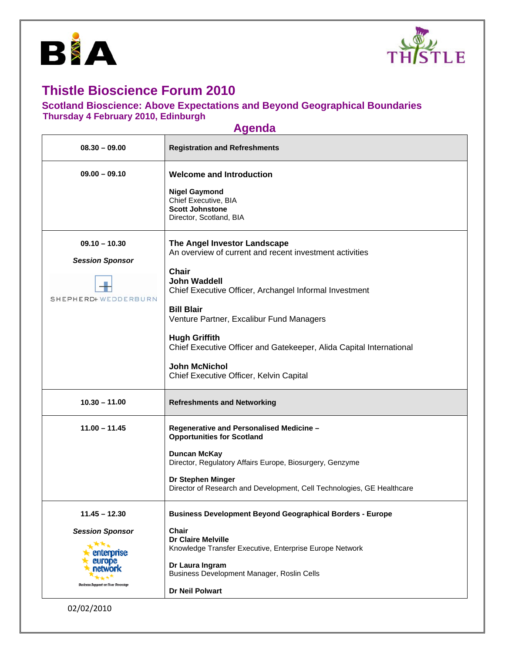



## **Thistle Bioscience Forum 2010**

## **Scotland Bioscience: Above Expectations and Beyond Geographical Boundaries Thursday 4 February 2010, Edinburgh**

| <b>Agenda</b>                             |                                                                                                      |  |
|-------------------------------------------|------------------------------------------------------------------------------------------------------|--|
| $08.30 - 09.00$                           | <b>Registration and Refreshments</b>                                                                 |  |
| $09.00 - 09.10$                           | <b>Welcome and Introduction</b>                                                                      |  |
|                                           | <b>Nigel Gaymond</b><br>Chief Executive, BIA<br><b>Scott Johnstone</b><br>Director, Scotland, BIA    |  |
|                                           |                                                                                                      |  |
| $09.10 - 10.30$<br><b>Session Sponsor</b> | The Angel Investor Landscape<br>An overview of current and recent investment activities              |  |
| SHEPHERD WEDDERBURN                       | Chair<br><b>John Waddell</b><br>Chief Executive Officer, Archangel Informal Investment               |  |
|                                           | <b>Bill Blair</b><br>Venture Partner, Excalibur Fund Managers                                        |  |
|                                           | <b>Hugh Griffith</b><br>Chief Executive Officer and Gatekeeper, Alida Capital International          |  |
|                                           | <b>John McNichol</b><br>Chief Executive Officer, Kelvin Capital                                      |  |
| $10.30 - 11.00$                           | <b>Refreshments and Networking</b>                                                                   |  |
| $11.00 - 11.45$                           | Regenerative and Personalised Medicine -<br><b>Opportunities for Scotland</b>                        |  |
|                                           | <b>Duncan McKay</b><br>Director, Regulatory Affairs Europe, Biosurgery, Genzyme                      |  |
|                                           | Dr Stephen Minger<br>Director of Research and Development, Cell Technologies, GE Healthcare          |  |
| $11.45 - 12.30$                           | <b>Business Development Beyond Geographical Borders - Europe</b>                                     |  |
| <b>Session Sponsor</b><br>enterprise      | <b>Chair</b><br><b>Dr Claire Melville</b><br>Knowledge Transfer Executive, Enterprise Europe Network |  |
|                                           | Dr Laura Ingram<br>Business Development Manager, Roslin Cells                                        |  |
| Basiness Support on Your Doorstep         | <b>Dr Neil Polwart</b>                                                                               |  |

02/02/2010